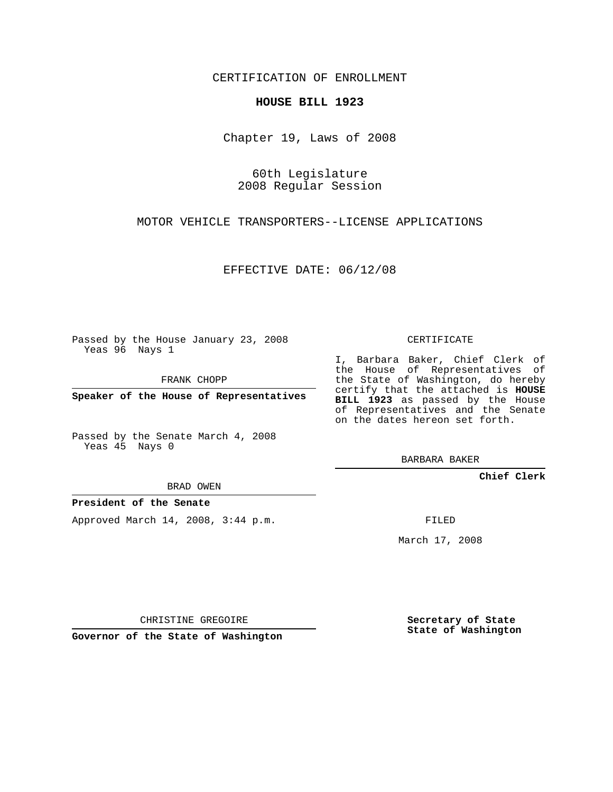CERTIFICATION OF ENROLLMENT

## **HOUSE BILL 1923**

Chapter 19, Laws of 2008

60th Legislature 2008 Regular Session

MOTOR VEHICLE TRANSPORTERS--LICENSE APPLICATIONS

EFFECTIVE DATE: 06/12/08

Passed by the House January 23, 2008 Yeas 96 Nays 1

FRANK CHOPP

**Speaker of the House of Representatives**

Passed by the Senate March 4, 2008 Yeas 45 Nays 0

BRAD OWEN

**President of the Senate**

Approved March 14, 2008, 3:44 p.m.

CERTIFICATE

I, Barbara Baker, Chief Clerk of the House of Representatives of the State of Washington, do hereby certify that the attached is **HOUSE BILL 1923** as passed by the House of Representatives and the Senate on the dates hereon set forth.

BARBARA BAKER

**Chief Clerk**

FILED

March 17, 2008

CHRISTINE GREGOIRE

**Governor of the State of Washington**

**Secretary of State State of Washington**